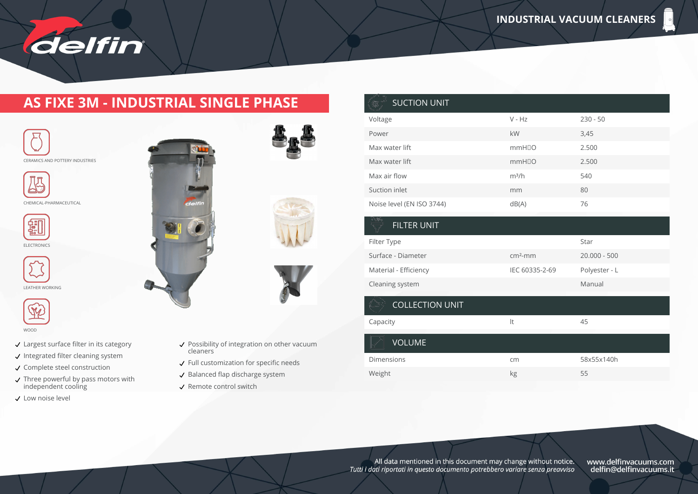

#### **AS FIXE 3M - INDUSTRIAL SINGLE PHASE**





CHEMICAL-PHARMACEUTICAL





LEATHER WORKING



WOOD

- Largest surface filter in its category
- $\checkmark$  Integrated filter cleaning system
- ↓ Complete steel construction
- Three powerful by pass motors with independent cooling
- Low noise level





- $\checkmark$  Full customization for specific needs
- $\checkmark$  Balanced flap discharge system
- $\checkmark$  Remote control switch



|                | Star           |
|----------------|----------------|
| $cm2$ -mm      | $20.000 - 500$ |
| IEC 60335-2-69 | Polyester - L  |
|                | Manual         |
|                |                |

#### COLLECTION UNIT Capacity **Capacity and Capacity Capacity and Capacity and Capacity and Capacity Capacity and Capacity Capacity Capacity Capacity Capacity Capacity Capacity Capacity Capacity Capacity Capac** VOLUME Dimensions cm 58x55x140h

All data mentioned in this document may change without notice. Tutti i dati riportati in questo documento potrebbero variare senza preavviso

Weight kg 55

www.delfinvacuums.com<br>delfin@delfinvacuums.it